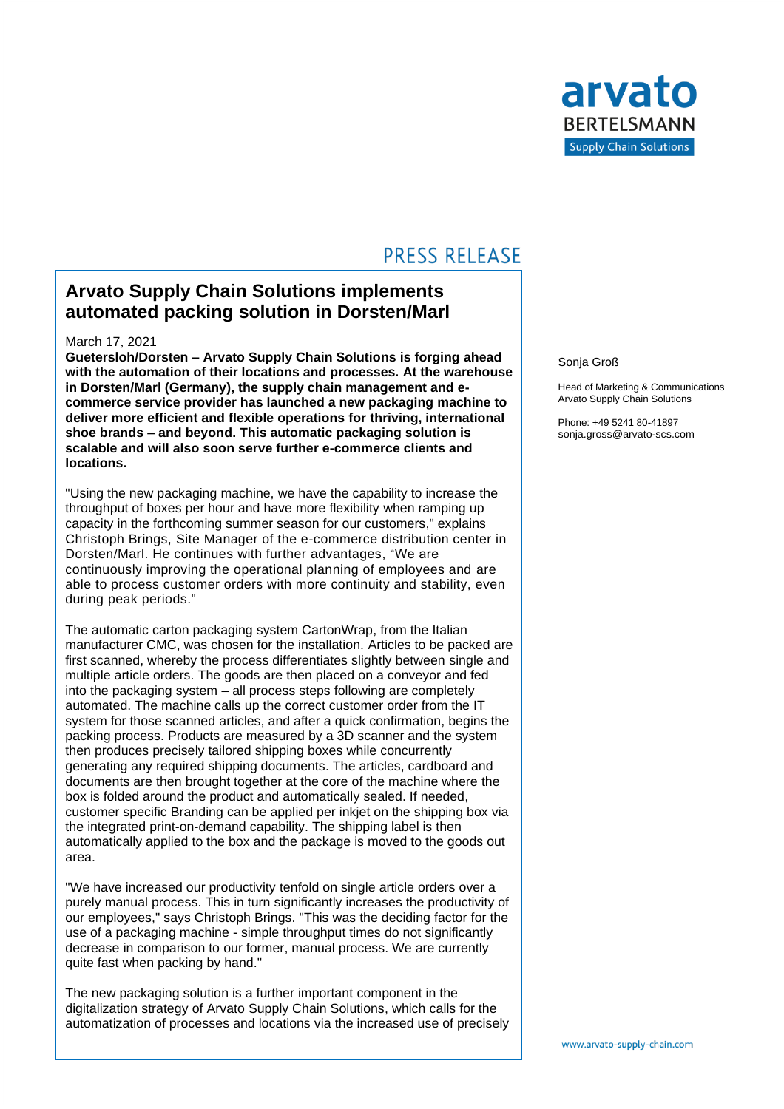

## **PRESS RELEASE**

### **Arvato Supply Chain Solutions implements automated packing solution in Dorsten/Marl**

#### March 17, 2021

**Guetersloh/Dorsten – Arvato Supply Chain Solutions is forging ahead with the automation of their locations and processes. At the warehouse in Dorsten/Marl (Germany), the supply chain management and ecommerce service provider has launched a new packaging machine to deliver more efficient and flexible operations for thriving, international shoe brands – and beyond. This automatic packaging solution is scalable and will also soon serve further e-commerce clients and locations.**

"Using the new packaging machine, we have the capability to increase the throughput of boxes per hour and have more flexibility when ramping up capacity in the forthcoming summer season for our customers," explains Christoph Brings, Site Manager of the e-commerce distribution center in Dorsten/Marl. He continues with further advantages, "We are continuously improving the operational planning of employees and are able to process customer orders with more continuity and stability, even during peak periods."

The automatic carton packaging system CartonWrap, from the Italian manufacturer CMC, was chosen for the installation. Articles to be packed are first scanned, whereby the process differentiates slightly between single and multiple article orders. The goods are then placed on a conveyor and fed into the packaging system – all process steps following are completely automated. The machine calls up the correct customer order from the IT system for those scanned articles, and after a quick confirmation, begins the packing process. Products are measured by a 3D scanner and the system then produces precisely tailored shipping boxes while concurrently generating any required shipping documents. The articles, cardboard and documents are then brought together at the core of the machine where the box is folded around the product and automatically sealed. If needed, customer specific Branding can be applied per inkjet on the shipping box via the integrated print-on-demand capability. The shipping label is then automatically applied to the box and the package is moved to the goods out area.

"We have increased our productivity tenfold on single article orders over a purely manual process. This in turn significantly increases the productivity of our employees," says Christoph Brings. "This was the deciding factor for the use of a packaging machine - simple throughput times do not significantly decrease in comparison to our former, manual process. We are currently quite fast when packing by hand."

The new packaging solution is a further important component in the digitalization strategy of Arvato Supply Chain Solutions, which calls for the automatization of processes and locations via the increased use of precisely Sonja Groß

Head of Marketing & Communications Arvato Supply Chain Solutions

Phone: +49 5241 80-41897 sonja.gross@arvato-scs.com